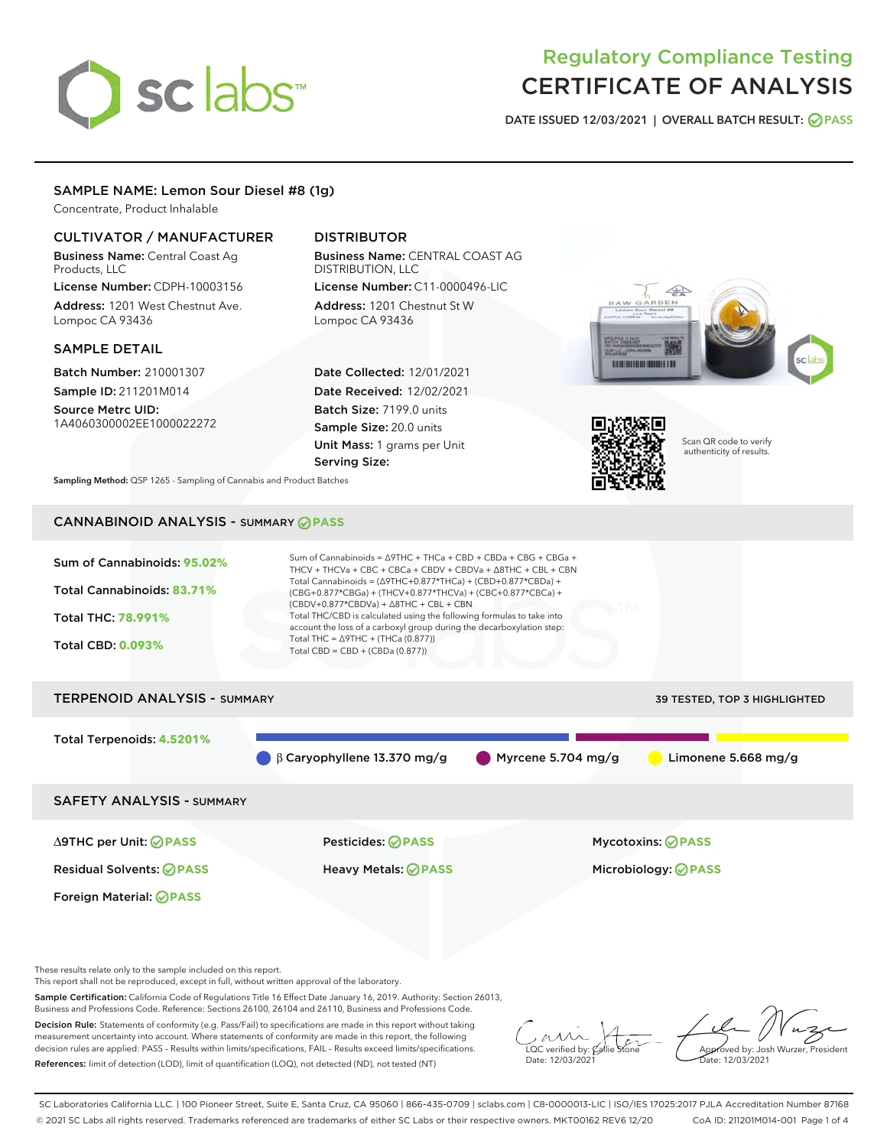# sclabs<sup>\*</sup>

# Regulatory Compliance Testing CERTIFICATE OF ANALYSIS

DATE ISSUED 12/03/2021 | OVERALL BATCH RESULT: @ PASS

# SAMPLE NAME: Lemon Sour Diesel #8 (1g)

Concentrate, Product Inhalable

# CULTIVATOR / MANUFACTURER

Business Name: Central Coast Ag Products, LLC

License Number: CDPH-10003156 Address: 1201 West Chestnut Ave. Lompoc CA 93436

### SAMPLE DETAIL

Batch Number: 210001307 Sample ID: 211201M014

Source Metrc UID: 1A4060300002EE1000022272

# DISTRIBUTOR

Business Name: CENTRAL COAST AG DISTRIBUTION, LLC License Number: C11-0000496-LIC

Address: 1201 Chestnut St W Lompoc CA 93436

Date Collected: 12/01/2021 Date Received: 12/02/2021 Batch Size: 7199.0 units Sample Size: 20.0 units Unit Mass: 1 grams per Unit Serving Size:





Scan QR code to verify authenticity of results.

Sampling Method: QSP 1265 - Sampling of Cannabis and Product Batches

# CANNABINOID ANALYSIS - SUMMARY **PASS**



These results relate only to the sample included on this report.

This report shall not be reproduced, except in full, without written approval of the laboratory.

Sample Certification: California Code of Regulations Title 16 Effect Date January 16, 2019. Authority: Section 26013, Business and Professions Code. Reference: Sections 26100, 26104 and 26110, Business and Professions Code.

Decision Rule: Statements of conformity (e.g. Pass/Fail) to specifications are made in this report without taking measurement uncertainty into account. Where statements of conformity are made in this report, the following decision rules are applied: PASS – Results within limits/specifications, FAIL – Results exceed limits/specifications. References: limit of detection (LOD), limit of quantification (LOQ), not detected (ND), not tested (NT)

 $\overline{\text{C}}$  verified by:  $\mathcal C$ Date: 12/03/2021

Aved by: Josh Wurzer, President ate: 12/03/2021

SC Laboratories California LLC. | 100 Pioneer Street, Suite E, Santa Cruz, CA 95060 | 866-435-0709 | sclabs.com | C8-0000013-LIC | ISO/IES 17025:2017 PJLA Accreditation Number 87168 © 2021 SC Labs all rights reserved. Trademarks referenced are trademarks of either SC Labs or their respective owners. MKT00162 REV6 12/20 CoA ID: 211201M014-001 Page 1 of 4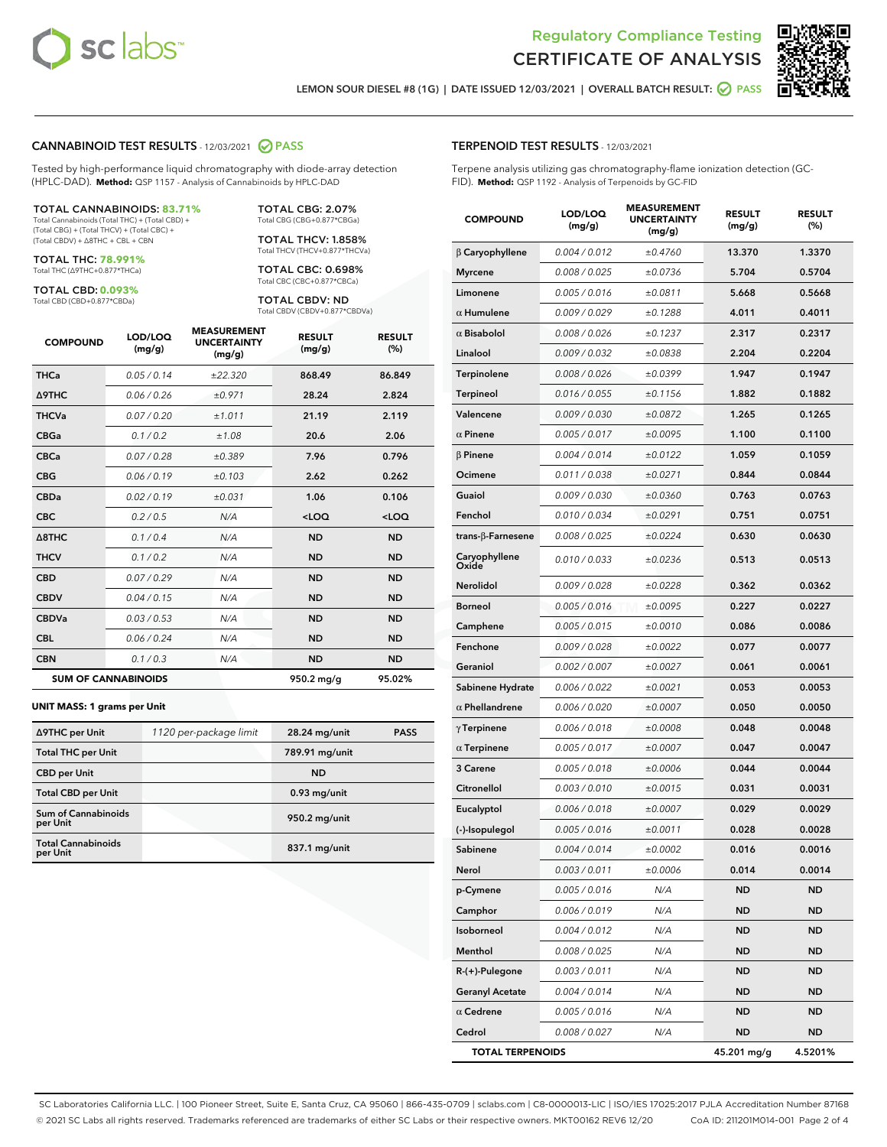



Г

LEMON SOUR DIESEL #8 (1G) | DATE ISSUED 12/03/2021 | OVERALL BATCH RESULT: ● PASS

#### CANNABINOID TEST RESULTS - 12/03/2021 2 PASS

Tested by high-performance liquid chromatography with diode-array detection (HPLC-DAD). **Method:** QSP 1157 - Analysis of Cannabinoids by HPLC-DAD

#### TOTAL CANNABINOIDS: **83.71%**

Total Cannabinoids (Total THC) + (Total CBD) + (Total CBG) + (Total THCV) + (Total CBC) + (Total CBDV) + ∆8THC + CBL + CBN

TOTAL THC: **78.991%** Total THC (∆9THC+0.877\*THCa)

TOTAL CBD: **0.093%**

Total CBD (CBD+0.877\*CBDa)

TOTAL CBG: 2.07% Total CBG (CBG+0.877\*CBGa)

TOTAL THCV: 1.858% Total THCV (THCV+0.877\*THCVa)

TOTAL CBC: 0.698% Total CBC (CBC+0.877\*CBCa)

TOTAL CBDV: ND Total CBDV (CBDV+0.877\*CBDVa)

| <b>COMPOUND</b>  | LOD/LOQ<br>(mg/g)          | <b>MEASUREMENT</b><br><b>UNCERTAINTY</b><br>(mg/g) | <b>RESULT</b><br>(mg/g) | <b>RESULT</b><br>(%) |
|------------------|----------------------------|----------------------------------------------------|-------------------------|----------------------|
| <b>THCa</b>      | 0.05/0.14                  | ±22.320                                            | 868.49                  | 86.849               |
| Δ9THC            | 0.06 / 0.26                | ±0.971                                             | 28.24                   | 2.824                |
| <b>THCVa</b>     | 0.07 / 0.20                | ±1.011                                             | 21.19                   | 2.119                |
| <b>CBGa</b>      | 0.1/0.2                    | ±1.08                                              | 20.6                    | 2.06                 |
| <b>CBCa</b>      | 0.07 / 0.28                | ±0.389                                             | 7.96                    | 0.796                |
| <b>CBG</b>       | 0.06/0.19                  | ±0.103                                             | 2.62                    | 0.262                |
| <b>CBDa</b>      | 0.02/0.19                  | ±0.031                                             | 1.06                    | 0.106                |
| <b>CBC</b>       | 0.2 / 0.5                  | N/A                                                | $<$ LOQ                 | <loq< td=""></loq<>  |
| $\triangle$ 8THC | 0.1/0.4                    | N/A                                                | <b>ND</b>               | <b>ND</b>            |
| <b>THCV</b>      | 0.1 / 0.2                  | N/A                                                | <b>ND</b>               | <b>ND</b>            |
| <b>CBD</b>       | 0.07/0.29                  | N/A                                                | <b>ND</b>               | <b>ND</b>            |
| <b>CBDV</b>      | 0.04 / 0.15                | N/A                                                | <b>ND</b>               | <b>ND</b>            |
| <b>CBDVa</b>     | 0.03 / 0.53                | N/A                                                | <b>ND</b>               | <b>ND</b>            |
| <b>CBL</b>       | 0.06 / 0.24                | N/A                                                | <b>ND</b>               | <b>ND</b>            |
| <b>CBN</b>       | 0.1/0.3                    | N/A                                                | <b>ND</b>               | <b>ND</b>            |
|                  | <b>SUM OF CANNABINOIDS</b> |                                                    | 950.2 mg/g              | 95.02%               |

#### **UNIT MASS: 1 grams per Unit**

| ∆9THC per Unit                        | 1120 per-package limit | 28.24 mg/unit   | <b>PASS</b> |
|---------------------------------------|------------------------|-----------------|-------------|
| <b>Total THC per Unit</b>             |                        | 789.91 mg/unit  |             |
| <b>CBD</b> per Unit                   |                        | <b>ND</b>       |             |
| <b>Total CBD per Unit</b>             |                        | $0.93$ mg/unit  |             |
| Sum of Cannabinoids<br>per Unit       |                        | 950.2 mg/unit   |             |
| <b>Total Cannabinoids</b><br>per Unit |                        | $837.1$ mg/unit |             |

#### TERPENOID TEST RESULTS - 12/03/2021

Terpene analysis utilizing gas chromatography-flame ionization detection (GC-FID). **Method:** QSP 1192 - Analysis of Terpenoids by GC-FID

| <b>COMPOUND</b>         | LOD/LOQ<br>(mg/g) | <b>MEASUREMENT</b><br><b>UNCERTAINTY</b><br>(mg/g) | <b>RESULT</b><br>(mg/g) | <b>RESULT</b><br>(%) |
|-------------------------|-------------------|----------------------------------------------------|-------------------------|----------------------|
| $\beta$ Caryophyllene   | 0.004 / 0.012     | ±0.4760                                            | 13.370                  | 1.3370               |
| <b>Myrcene</b>          | 0.008 / 0.025     | ±0.0736                                            | 5.704                   | 0.5704               |
| Limonene                | 0.005 / 0.016     | ±0.0811                                            | 5.668                   | 0.5668               |
| $\alpha$ Humulene       | 0.009 / 0.029     | ±0.1288                                            | 4.011                   | 0.4011               |
| $\alpha$ Bisabolol      | 0.008 / 0.026     | ±0.1237                                            | 2.317                   | 0.2317               |
| Linalool                | 0.009 / 0.032     | ±0.0838                                            | 2.204                   | 0.2204               |
| Terpinolene             | 0.008 / 0.026     | ±0.0399                                            | 1.947                   | 0.1947               |
| <b>Terpineol</b>        | 0.016 / 0.055     | ±0.1156                                            | 1.882                   | 0.1882               |
| Valencene               | 0.009 / 0.030     | ±0.0872                                            | 1.265                   | 0.1265               |
| $\alpha$ Pinene         | 0.005 / 0.017     | ±0.0095                                            | 1.100                   | 0.1100               |
| $\beta$ Pinene          | 0.004 / 0.014     | ±0.0122                                            | 1.059                   | 0.1059               |
| Ocimene                 | 0.011 / 0.038     | ±0.0271                                            | 0.844                   | 0.0844               |
| Guaiol                  | 0.009 / 0.030     | ±0.0360                                            | 0.763                   | 0.0763               |
| Fenchol                 | 0.010 / 0.034     | ±0.0291                                            | 0.751                   | 0.0751               |
| trans-ß-Farnesene       | 0.008 / 0.025     | ±0.0224                                            | 0.630                   | 0.0630               |
| Caryophyllene<br>Oxide  | 0.010 / 0.033     | ±0.0236                                            | 0.513                   | 0.0513               |
| Nerolidol               | 0.009 / 0.028     | ±0.0228                                            | 0.362                   | 0.0362               |
| <b>Borneol</b>          | 0.005 / 0.016     | ±0.0095                                            | 0.227                   | 0.0227               |
| Camphene                | 0.005 / 0.015     | ±0.0010                                            | 0.086                   | 0.0086               |
| Fenchone                | 0.009 / 0.028     | ±0.0022                                            | 0.077                   | 0.0077               |
| Geraniol                | 0.002 / 0.007     | ±0.0027                                            | 0.061                   | 0.0061               |
| Sabinene Hydrate        | 0.006 / 0.022     | ±0.0021                                            | 0.053                   | 0.0053               |
| $\alpha$ Phellandrene   | 0.006 / 0.020     | ±0.0007                                            | 0.050                   | 0.0050               |
| $\gamma$ Terpinene      | 0.006 / 0.018     | ±0.0008                                            | 0.048                   | 0.0048               |
| $\alpha$ Terpinene      | 0.005 / 0.017     | ±0.0007                                            | 0.047                   | 0.0047               |
| 3 Carene                | 0.005 / 0.018     | ±0.0006                                            | 0.044                   | 0.0044               |
| Citronellol             | 0.003/0.010       | ±0.0015                                            | 0.031                   | 0.0031               |
| Eucalyptol              | 0.006 / 0.018     | ±0.0007                                            | 0.029                   | 0.0029               |
| (-)-Isopulegol          | 0.005 / 0.016     | ±0.0011                                            | 0.028                   | 0.0028               |
| Sabinene                | 0.004 / 0.014     | ±0.0002                                            | 0.016                   | 0.0016               |
| Nerol                   | 0.003 / 0.011     | ±0.0006                                            | 0.014                   | 0.0014               |
| p-Cymene                | 0.005 / 0.016     | N/A                                                | <b>ND</b>               | <b>ND</b>            |
| Camphor                 | 0.006 / 0.019     | N/A                                                | ND                      | <b>ND</b>            |
| Isoborneol              | 0.004 / 0.012     | N/A                                                | ND                      | <b>ND</b>            |
| Menthol                 | 0.008 / 0.025     | N/A                                                | ND                      | ND                   |
| $R-(+)$ -Pulegone       | 0.003 / 0.011     | N/A                                                | ND                      | ND                   |
| <b>Geranyl Acetate</b>  | 0.004 / 0.014     | N/A                                                | ND                      | ND                   |
| $\alpha$ Cedrene        | 0.005 / 0.016     | N/A                                                | ND                      | ND                   |
| Cedrol                  | 0.008 / 0.027     | N/A                                                | ND                      | ND                   |
| <b>TOTAL TERPENOIDS</b> |                   |                                                    | 45.201 mg/g             | 4.5201%              |

SC Laboratories California LLC. | 100 Pioneer Street, Suite E, Santa Cruz, CA 95060 | 866-435-0709 | sclabs.com | C8-0000013-LIC | ISO/IES 17025:2017 PJLA Accreditation Number 87168 © 2021 SC Labs all rights reserved. Trademarks referenced are trademarks of either SC Labs or their respective owners. MKT00162 REV6 12/20 CoA ID: 211201M014-001 Page 2 of 4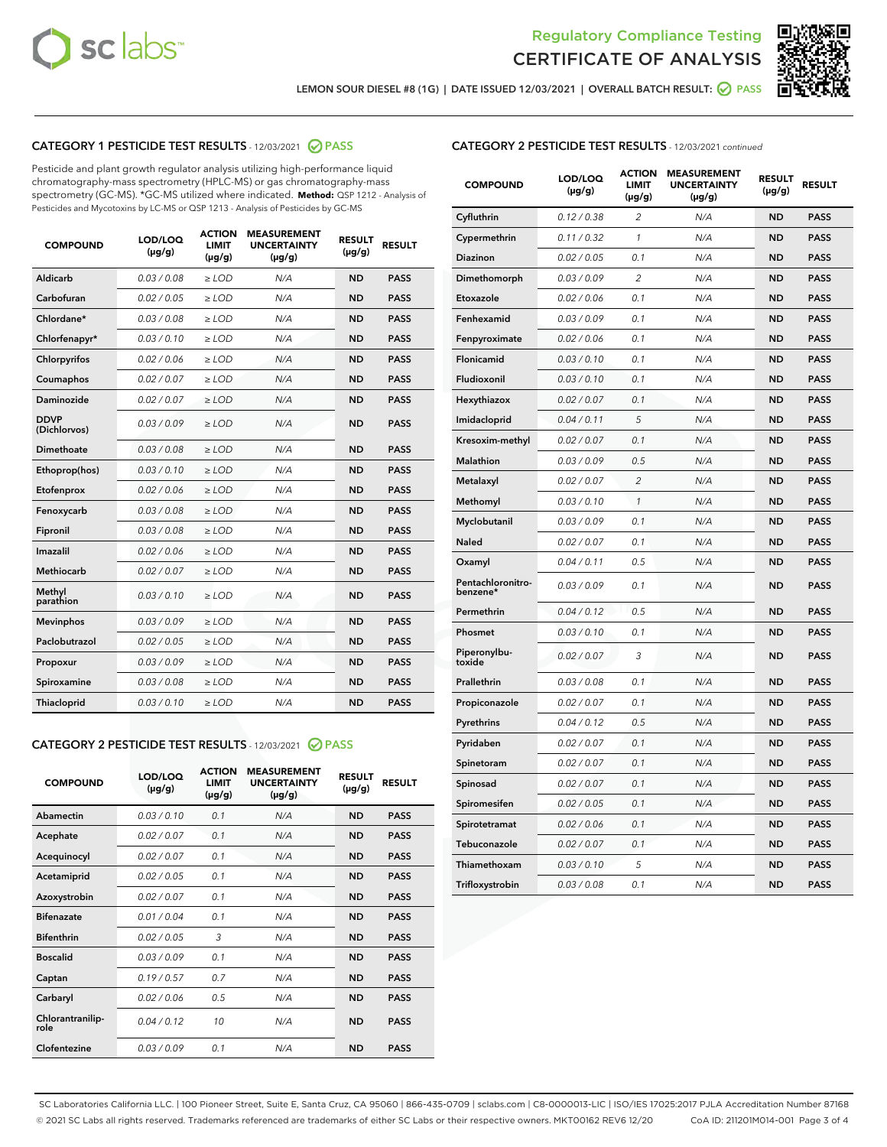



LEMON SOUR DIESEL #8 (1G) | DATE ISSUED 12/03/2021 | OVERALL BATCH RESULT: <mark>⊘</mark> PASS

# CATEGORY 1 PESTICIDE TEST RESULTS - 12/03/2021 2 PASS

Pesticide and plant growth regulator analysis utilizing high-performance liquid chromatography-mass spectrometry (HPLC-MS) or gas chromatography-mass spectrometry (GC-MS). \*GC-MS utilized where indicated. **Method:** QSP 1212 - Analysis of Pesticides and Mycotoxins by LC-MS or QSP 1213 - Analysis of Pesticides by GC-MS

| <b>COMPOUND</b>             | LOD/LOQ<br>$(\mu g/g)$ | <b>ACTION</b><br><b>LIMIT</b><br>$(\mu g/g)$ | <b>MEASUREMENT</b><br><b>UNCERTAINTY</b><br>$(\mu g/g)$ | <b>RESULT</b><br>$(\mu g/g)$ | <b>RESULT</b> |
|-----------------------------|------------------------|----------------------------------------------|---------------------------------------------------------|------------------------------|---------------|
| Aldicarb                    | 0.03 / 0.08            | $\ge$ LOD                                    | N/A                                                     | <b>ND</b>                    | <b>PASS</b>   |
| Carbofuran                  | 0.02 / 0.05            | $\geq$ LOD                                   | N/A                                                     | <b>ND</b>                    | <b>PASS</b>   |
| Chlordane*                  | 0.03 / 0.08            | $\ge$ LOD                                    | N/A                                                     | <b>ND</b>                    | <b>PASS</b>   |
| Chlorfenapyr*               | 0.03/0.10              | $\geq$ LOD                                   | N/A                                                     | <b>ND</b>                    | <b>PASS</b>   |
| Chlorpyrifos                | 0.02 / 0.06            | $\ge$ LOD                                    | N/A                                                     | <b>ND</b>                    | <b>PASS</b>   |
| Coumaphos                   | 0.02 / 0.07            | $\ge$ LOD                                    | N/A                                                     | <b>ND</b>                    | <b>PASS</b>   |
| Daminozide                  | 0.02 / 0.07            | $\ge$ LOD                                    | N/A                                                     | <b>ND</b>                    | <b>PASS</b>   |
| <b>DDVP</b><br>(Dichlorvos) | 0.03/0.09              | $>$ LOD                                      | N/A                                                     | <b>ND</b>                    | <b>PASS</b>   |
| Dimethoate                  | 0.03 / 0.08            | $\ge$ LOD                                    | N/A                                                     | <b>ND</b>                    | <b>PASS</b>   |
| Ethoprop(hos)               | 0.03/0.10              | $>$ LOD                                      | N/A                                                     | <b>ND</b>                    | <b>PASS</b>   |
| Etofenprox                  | 0.02 / 0.06            | $\ge$ LOD                                    | N/A                                                     | <b>ND</b>                    | <b>PASS</b>   |
| Fenoxycarb                  | 0.03 / 0.08            | $\ge$ LOD                                    | N/A                                                     | <b>ND</b>                    | <b>PASS</b>   |
| Fipronil                    | 0.03 / 0.08            | $\ge$ LOD                                    | N/A                                                     | <b>ND</b>                    | <b>PASS</b>   |
| Imazalil                    | 0.02 / 0.06            | $>$ LOD                                      | N/A                                                     | <b>ND</b>                    | <b>PASS</b>   |
| <b>Methiocarb</b>           | 0.02 / 0.07            | $\ge$ LOD                                    | N/A                                                     | <b>ND</b>                    | <b>PASS</b>   |
| Methyl<br>parathion         | 0.03/0.10              | $\ge$ LOD                                    | N/A                                                     | <b>ND</b>                    | <b>PASS</b>   |
| <b>Mevinphos</b>            | 0.03/0.09              | $\ge$ LOD                                    | N/A                                                     | <b>ND</b>                    | <b>PASS</b>   |
| Paclobutrazol               | 0.02 / 0.05            | $>$ LOD                                      | N/A                                                     | <b>ND</b>                    | <b>PASS</b>   |
| Propoxur                    | 0.03/0.09              | $\ge$ LOD                                    | N/A                                                     | <b>ND</b>                    | <b>PASS</b>   |
| Spiroxamine                 | 0.03 / 0.08            | $\ge$ LOD                                    | N/A                                                     | <b>ND</b>                    | <b>PASS</b>   |
| Thiacloprid                 | 0.03/0.10              | $\ge$ LOD                                    | N/A                                                     | <b>ND</b>                    | <b>PASS</b>   |

#### CATEGORY 2 PESTICIDE TEST RESULTS - 12/03/2021 @ PASS

| <b>COMPOUND</b>          | LOD/LOO<br>$(\mu g/g)$ | <b>ACTION</b><br>LIMIT<br>$(\mu g/g)$ | <b>MEASUREMENT</b><br><b>UNCERTAINTY</b><br>$(\mu g/g)$ | <b>RESULT</b><br>$(\mu g/g)$ | <b>RESULT</b> |  |
|--------------------------|------------------------|---------------------------------------|---------------------------------------------------------|------------------------------|---------------|--|
| Abamectin                | 0.03/0.10              | 0.1                                   | N/A                                                     | <b>ND</b>                    | <b>PASS</b>   |  |
| Acephate                 | 0.02/0.07              | 0.1                                   | N/A                                                     | <b>ND</b>                    | <b>PASS</b>   |  |
| Acequinocyl              | 0.02/0.07              | 0.1                                   | N/A                                                     | <b>ND</b>                    | <b>PASS</b>   |  |
| Acetamiprid              | 0.02 / 0.05            | 0.1                                   | N/A                                                     | <b>ND</b>                    | <b>PASS</b>   |  |
| Azoxystrobin             | 0.02/0.07              | 0.1                                   | N/A                                                     | <b>ND</b>                    | <b>PASS</b>   |  |
| <b>Bifenazate</b>        | 0.01 / 0.04            | 0.1                                   | N/A                                                     | <b>ND</b>                    | <b>PASS</b>   |  |
| <b>Bifenthrin</b>        | 0.02 / 0.05            | 3                                     | N/A                                                     | <b>ND</b>                    | <b>PASS</b>   |  |
| <b>Boscalid</b>          | 0.03/0.09              | 0.1                                   | N/A                                                     | <b>ND</b>                    | <b>PASS</b>   |  |
| Captan                   | 0.19/0.57              | 0.7                                   | N/A                                                     | <b>ND</b>                    | <b>PASS</b>   |  |
| Carbaryl                 | 0.02/0.06              | 0.5                                   | N/A                                                     | <b>ND</b>                    | <b>PASS</b>   |  |
| Chlorantranilip-<br>role | 0.04/0.12              | 10                                    | N/A                                                     | <b>ND</b>                    | <b>PASS</b>   |  |
| Clofentezine             | 0.03/0.09              | 0.1                                   | N/A                                                     | <b>ND</b>                    | <b>PASS</b>   |  |

# CATEGORY 2 PESTICIDE TEST RESULTS - 12/03/2021 continued

| <b>COMPOUND</b>               | LOD/LOQ<br>(µg/g) | <b>ACTION</b><br><b>LIMIT</b><br>$(\mu g/g)$ | <b>MEASUREMENT</b><br><b>UNCERTAINTY</b><br>$(\mu g/g)$ | <b>RESULT</b><br>(µg/g) | <b>RESULT</b> |
|-------------------------------|-------------------|----------------------------------------------|---------------------------------------------------------|-------------------------|---------------|
| Cyfluthrin                    | 0.12 / 0.38       | $\overline{c}$                               | N/A                                                     | ND                      | <b>PASS</b>   |
| Cypermethrin                  | 0.11 / 0.32       | $\mathcal{I}$                                | N/A                                                     | ND                      | <b>PASS</b>   |
| Diazinon                      | 0.02 / 0.05       | 0.1                                          | N/A                                                     | <b>ND</b>               | <b>PASS</b>   |
| Dimethomorph                  | 0.03 / 0.09       | 2                                            | N/A                                                     | ND                      | <b>PASS</b>   |
| Etoxazole                     | 0.02 / 0.06       | 0.1                                          | N/A                                                     | ND                      | <b>PASS</b>   |
| Fenhexamid                    | 0.03 / 0.09       | 0.1                                          | N/A                                                     | <b>ND</b>               | <b>PASS</b>   |
| Fenpyroximate                 | 0.02 / 0.06       | 0.1                                          | N/A                                                     | ND                      | <b>PASS</b>   |
| Flonicamid                    | 0.03 / 0.10       | 0.1                                          | N/A                                                     | ND                      | <b>PASS</b>   |
| Fludioxonil                   | 0.03 / 0.10       | 0.1                                          | N/A                                                     | <b>ND</b>               | <b>PASS</b>   |
| Hexythiazox                   | 0.02 / 0.07       | 0.1                                          | N/A                                                     | <b>ND</b>               | <b>PASS</b>   |
| Imidacloprid                  | 0.04 / 0.11       | 5                                            | N/A                                                     | ND                      | <b>PASS</b>   |
| Kresoxim-methyl               | 0.02 / 0.07       | 0.1                                          | N/A                                                     | <b>ND</b>               | <b>PASS</b>   |
| Malathion                     | 0.03 / 0.09       | 0.5                                          | N/A                                                     | ND                      | <b>PASS</b>   |
| Metalaxyl                     | 0.02 / 0.07       | $\overline{c}$                               | N/A                                                     | ND                      | PASS          |
| Methomyl                      | 0.03 / 0.10       | 1                                            | N/A                                                     | <b>ND</b>               | <b>PASS</b>   |
| Myclobutanil                  | 0.03 / 0.09       | 0.1                                          | N/A                                                     | ND                      | <b>PASS</b>   |
| Naled                         | 0.02 / 0.07       | 0.1                                          | N/A                                                     | ND                      | <b>PASS</b>   |
| Oxamyl                        | 0.04 / 0.11       | 0.5                                          | N/A                                                     | ND                      | <b>PASS</b>   |
| Pentachloronitro-<br>benzene* | 0.03 / 0.09       | 0.1                                          | N/A                                                     | ND                      | <b>PASS</b>   |
| Permethrin                    | 0.04 / 0.12       | 0.5                                          | N/A                                                     | <b>ND</b>               | <b>PASS</b>   |
| Phosmet                       | 0.03 / 0.10       | 0.1                                          | N/A                                                     | ND                      | <b>PASS</b>   |
| Piperonylbu-<br>toxide        | 0.02 / 0.07       | 3                                            | N/A                                                     | ND                      | <b>PASS</b>   |
| Prallethrin                   | 0.03 / 0.08       | 0.1                                          | N/A                                                     | ND                      | <b>PASS</b>   |
| Propiconazole                 | 0.02 / 0.07       | 0.1                                          | N/A                                                     | ND                      | <b>PASS</b>   |
| Pyrethrins                    | 0.04 / 0.12       | 0.5                                          | N/A                                                     | <b>ND</b>               | <b>PASS</b>   |
| Pyridaben                     | 0.02 / 0.07       | 0.1                                          | N/A                                                     | ND                      | <b>PASS</b>   |
| Spinetoram                    | 0.02 / 0.07       | 0.1                                          | N/A                                                     | ND                      | PASS          |
| Spinosad                      | 0.02 / 0.07       | 0.1                                          | N/A                                                     | <b>ND</b>               | <b>PASS</b>   |
| Spiromesifen                  | 0.02 / 0.05       | 0.1                                          | N/A                                                     | ND                      | <b>PASS</b>   |
| Spirotetramat                 | 0.02 / 0.06       | 0.1                                          | N/A                                                     | ND                      | <b>PASS</b>   |
| Tebuconazole                  | 0.02 / 0.07       | 0.1                                          | N/A                                                     | ND                      | <b>PASS</b>   |
| Thiamethoxam                  | 0.03 / 0.10       | 5                                            | N/A                                                     | ND                      | <b>PASS</b>   |
| Trifloxystrobin               | 0.03 / 0.08       | 0.1                                          | N/A                                                     | <b>ND</b>               | <b>PASS</b>   |

SC Laboratories California LLC. | 100 Pioneer Street, Suite E, Santa Cruz, CA 95060 | 866-435-0709 | sclabs.com | C8-0000013-LIC | ISO/IES 17025:2017 PJLA Accreditation Number 87168 © 2021 SC Labs all rights reserved. Trademarks referenced are trademarks of either SC Labs or their respective owners. MKT00162 REV6 12/20 CoA ID: 211201M014-001 Page 3 of 4